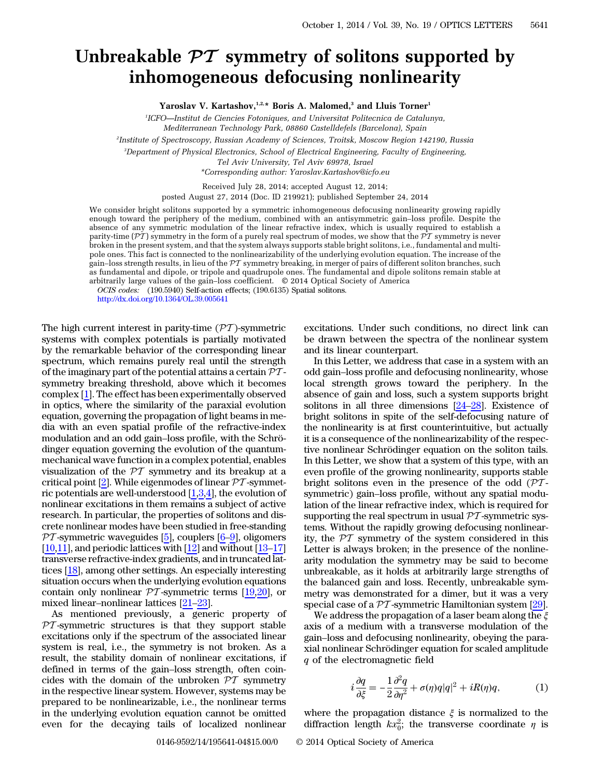## Unbreakable  $\mathcal{PT}$  symmetry of solitons supported by inhomogeneous defocusing nonlinearity

Yaroslav V. Kartashov, $1,2,*$  Boris A. Malomed,<sup>3</sup> and Lluis Torner<sup>1</sup>

1 ICFO—Institut de Ciencies Fotoniques, and Universitat Politecnica de Catalunya, Mediterranean Technology Park, 08860 Castelldefels (Barcelona), Spain

2 Institute of Spectroscopy, Russian Academy of Sciences, Troitsk, Moscow Region 142190, Russia

3 Department of Physical Electronics, School of Electrical Engineering, Faculty of Engineering,

Tel Aviv University, Tel Aviv 69978, Israel

\*Corresponding author: Yaroslav.Kartashov@icfo.eu

Received July 28, 2014; accepted August 12, 2014; posted August 27, 2014 (Doc. ID 219921); published September 24, 2014

We consider bright solitons supported by a symmetric inhomogeneous defocusing nonlinearity growing rapidly enough toward the periphery of the medium, combined with an antisymmetric gain–loss profile. Despite the absence of any symmetric modulation of the linear refractive index, which is usually required to establish a parity-time  $(\overline{PT})$  symmetry in the form of a purely real spectrum of modes, we show that the  $\overline{PT}$  symmetry is never broken in the present system, and that the system always supports stable bright solitons, i.e., fundamental and multipole ones. This fact is connected to the nonlinearizability of the underlying evolution equation. The increase of the gain–loss strength results, in lieu of the  $PT$  symmetry breaking, in merger of pairs of different soliton branches, such as fundamental and dipole, or tripole and quadrupole ones. The fundamental and dipole solitons remain stable at arbitrarily large values of the gain–loss coefficient. © 2014 Optical Society of America

OCIS codes: (190.5940) Self-action effects; (190.6135) Spatial solitons. <http://dx.doi.org/10.1364/OL.39.005641>

The high current interest in parity-time  $(\mathcal{PT})$ -symmetric systems with complex potentials is partially motivated by the remarkable behavior of the corresponding linear spectrum, which remains purely real until the strength of the imaginary part of the potential attains a certain  $\mathcal{P}\mathcal{T}$ symmetry breaking threshold, above which it becomes complex [[1\]](#page-3-0). The effect has been experimentally observed in optics, where the similarity of the paraxial evolution equation, governing the propagation of light beams in media with an even spatial profile of the refractive-index modulation and an odd gain–loss profile, with the Schrödinger equation governing the evolution of the quantummechanical wave function in a complex potential, enables visualization of the  $\mathcal{P}\mathcal{T}$  symmetry and its breakup at a critical point  $[2]$  $[2]$ . While eigenmodes of linear  $\mathcal PT$ -symmetric potentials are well-understood  $[\underline{1,3,4}]$  $[\underline{1,3,4}]$  $[\underline{1,3,4}]$  $[\underline{1,3,4}]$ , the evolution of nonlinear excitations in them remains a subject of active research. In particular, the properties of solitons and discrete nonlinear modes have been studied in free-standing  $PT$ -symmetric waveguides [\[5](#page-3-4)], couplers [[6](#page-3-5)–[9\]](#page-3-6), oligomers  $[10,11]$  $[10,11]$  $[10,11]$ , and periodic lattices with  $[12]$  $[12]$  and without  $[13-17]$  $[13-17]$  $[13-17]$  $[13-17]$ transverse refractive-index gradients, and in truncated lattices [\[18](#page-3-12)], among other settings. An especially interesting situation occurs when the underlying evolution equations contain only nonlinear  $\mathcal{PT}$ -symmetric terms [\[19](#page-3-13),[20\]](#page-3-14), or mixed linear–nonlinear lattices [[21](#page-3-15)–[23\]](#page-3-16).

As mentioned previously, a generic property of  $PT$ -symmetric structures is that they support stable excitations only if the spectrum of the associated linear system is real, i.e., the symmetry is not broken. As a result, the stability domain of nonlinear excitations, if defined in terms of the gain–loss strength, often coincides with the domain of the unbroken  $\mathcal{P}\mathcal{T}$  symmetry in the respective linear system. However, systems may be prepared to be nonlinearizable, i.e., the nonlinear terms in the underlying evolution equation cannot be omitted even for the decaying tails of localized nonlinear

excitations. Under such conditions, no direct link can be drawn between the spectra of the nonlinear system and its linear counterpart.

In this Letter, we address that case in a system with an odd gain–loss profile and defocusing nonlinearity, whose local strength grows toward the periphery. In the absence of gain and loss, such a system supports bright solitons in all three dimensions [\[24](#page-3-17)–[28](#page-3-18)]. Existence of bright solitons in spite of the self-defocusing nature of the nonlinearity is at first counterintuitive, but actually it is a consequence of the nonlinearizability of the respective nonlinear Schrödinger equation on the soliton tails. In this Letter, we show that a system of this type, with an even profile of the growing nonlinearity, supports stable bright solitons even in the presence of the odd  $(\mathcal{PT}-\mathcal{PT})$ symmetric) gain–loss profile, without any spatial modulation of the linear refractive index, which is required for supporting the real spectrum in usual  $\mathcal{P}\mathcal{T}$ -symmetric systems. Without the rapidly growing defocusing nonlinearity, the PT symmetry of the system considered in this Letter is always broken; in the presence of the nonlinearity modulation the symmetry may be said to become unbreakable, as it holds at arbitrarily large strengths of the balanced gain and loss. Recently, unbreakable symmetry was demonstrated for a dimer, but it was a very special case of a  $\mathcal{PT}$ -symmetric Hamiltonian system [\[29](#page-3-19)].

<span id="page-0-0"></span>We address the propagation of a laser beam along the ξ axis of a medium with a transverse modulation of the gain–loss and defocusing nonlinearity, obeying the paraxial nonlinear Schrödinger equation for scaled amplitude<br> *q* of the electromagnetic field<br>  $i\frac{\partial q}{\partial \xi} = -\frac{1}{2}\frac{\partial^2 q}{\partial \eta^2} + \sigma(\eta)q|q|^2 + iR(\eta)q,$  (1) q of the electromagnetic field

$$
i\frac{\partial q}{\partial \xi} = -\frac{1}{2}\frac{\partial^2 q}{\partial \eta^2} + \sigma(\eta)q|q|^2 + iR(\eta)q,\tag{1}
$$

where the propagation distance  $\xi$  is normalized to the diffraction length  $kx_0^2$ ; the transverse coordinate  $\eta$  is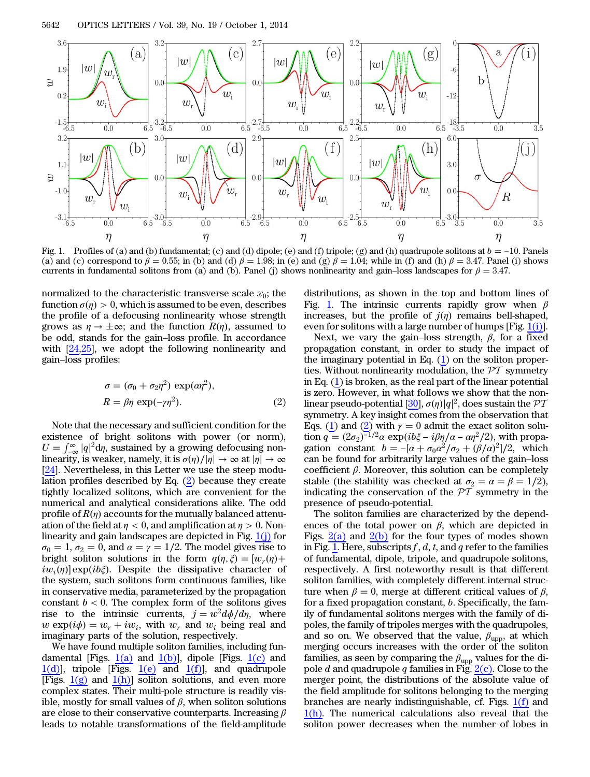<span id="page-1-1"></span>

(a) and (c) correspond to  $\beta = 0.55$ ; in (b) and (d)  $\beta = 1.98$ ; in (e) and (g)  $\beta = 1.04$ ; while in (f) and (h)  $\beta = 3.47$ . Panel (i) shows currents in fundamental solitons from (a) and (b). Panel (j) shows nonlinearity and gain–loss landscapes for  $\beta = 3.47$ .

<span id="page-1-0"></span>normalized to the characteristic transverse scale  $x_0$ ; the function  $\sigma(\eta) > 0$ , which is assumed to be even, describes the profile of a defocusing nonlinearity whose strength grows as  $\eta \to \pm \infty$ ; and the function  $R(\eta)$ , assumed to be odd, stands for the gain–loss profile. In accordance with [\[24](#page-3-17),[25\]](#page-3-20), we adopt the following nonlinearity and gain–loss profiles:

$$
\sigma = (\sigma_0 + \sigma_2 \eta^2) \exp(\alpha \eta^2),
$$
  
\n
$$
R = \beta \eta \exp(-\gamma \eta^2).
$$
 (2)

Note that the necessary and sufficient condition for the existence of bright solitons with power (or norm),  $U = \int_{-\infty}^{\infty} |q|^2 d\eta$ , sustained by a growing defocusing nonlinearity, is weaker, namely, it is  $\sigma(\eta)/|\eta| \to \infty$  at  $|\eta| \to \infty$ [\[24](#page-3-17)]. Nevertheless, in this Letter we use the steep modulation profiles described by Eq.  $(2)$  $(2)$  because they create tightly localized solitons, which are convenient for the numerical and analytical considerations alike. The odd profile of  $R(\eta)$  accounts for the mutually balanced attenuation of the field at  $\eta$  < 0, and amplification at  $\eta > 0$ . Nonlinearity and gain landscapes are depicted in Fig.  $\frac{1(j)}{j}$  $\frac{1(j)}{j}$  $\frac{1(j)}{j}$  for  $\sigma_0 = 1$ ,  $\sigma_2 = 0$ , and  $\alpha = \gamma = 1/2$ . The model gives rise to bright soliton solutions in the form  $q(\eta, \xi) = [w_r(\eta) +$  $iw_i(\eta)$  exp( $ib\xi$ ). Despite the dissipative character of the system, such solitons form continuous families, like in conservative media, parameterized by the propagation constant  $b < 0$ . The complex form of the solitons gives rise to the intrinsic currents,  $j = w^2 d\phi/d\eta$ , where  $w \exp(i\phi) = w_r + iw_i$ , with  $w_r$  and  $w_i$  being real and imaginary parts of the solution, respectively.

We have found multiple soliton families, including fundamental [Figs.  $1(a)$  and  $1(b)$ ], dipole [Figs.  $1(c)$  and  $1(d)$ ], tripole [Figs.  $1(e)$  and  $1(f)$ ], and quadrupole [Figs.  $1(g)$  and  $1(h)$ ] soliton solutions, and even more complex states. Their multi-pole structure is readily visible, mostly for small values of  $β$ , when soliton solutions are close to their conservative counterparts. Increasing  $\beta$ leads to notable transformations of the field-amplitude

distributions, as shown in the top and bottom lines of Fig. [1.](#page-1-1) The intrinsic currents rapidly grow when  $\beta$ increases, but the profile of  $i(n)$  remains bell-shaped, even for solitons with a large number of humps [Fig.  $1(i)$ ].

Next, we vary the gain–loss strength,  $\beta$ , for a fixed propagation constant, in order to study the impact of the imaginary potential in Eq.  $(1)$  $(1)$  on the soliton properties. Without nonlinearity modulation, the  $\mathcal{P}\mathcal{T}$  symmetry in Eq. ([1\)](#page-0-0) is broken, as the real part of the linear potential is zero. However, in what follows we show that the nonlinear pseudo-potential  $[30]$  $[30]$ ,  $\sigma(\eta)|q|^2$ , does sustain the  $\mathcal{P}I$ symmetry. A key insight comes from the observation that Eqs. ([1\)](#page-0-0) and [\(2](#page-1-0)) with  $\gamma = 0$  admit the exact soliton solution differential and  $\frac{1}{20}$ ,  $\sigma(\eta)|q|^2$ , does sustain the *PT*<br>symmetry. A key insight comes from the observation that<br>Eqs. (1) and (2) with  $\gamma = 0$  admit the exact soliton solu-<br>tion  $q = (2\sigma_2)^{-1/2}\alpha \exp(i\delta\xi - i\beta\eta/\alpha$ gation constant  $\frac{1}{2}$ ,  $\frac{1}{2}$ ,  $\frac{1}{2}$ ,  $\frac{1}{2}$ , which comes from the observation that Eqs. (1) and (2) with  $\gamma = 0$  admit the exact soliton solution  $q = (2\sigma_2)^{-1/2}\alpha \exp(i\delta\xi - i\beta\eta/\alpha - \alpha\eta^2/2)$ , with propagation can be found for arbitrarily large values of the gain–loss coefficient  $β$ . Moreover, this solution can be completely stable (the stability was checked at  $\sigma_2 = \alpha = \beta = 1/2$ ), indicating the conservation of the  $\mathcal{P}\mathcal{T}$  symmetry in the presence of pseudo-potential.

The soliton families are characterized by the dependences of the total power on  $\beta$ , which are depicted in Figs.  $2(a)$  and  $2(b)$  for the four types of modes shown in Fig. [1.](#page-1-1) Here, subscripts  $f, d, t$ , and  $q$  refer to the families of fundamental, dipole, tripole, and quadrupole solitons, respectively. A first noteworthy result is that different soliton families, with completely different internal structure when  $\beta = 0$ , merge at different critical values of  $\beta$ , for a fixed propagation constant, b. Specifically, the family of fundamental solitons merges with the family of dipoles, the family of tripoles merges with the quadrupoles, and so on. We observed that the value,  $\beta_{\text{upp}}$ , at which merging occurs increases with the order of the soliton families, as seen by comparing the  $\beta_{\text{upp}}$  values for the dipole d and quadrupole q families in Fig.  $2(c)$ . Close to the merger point, the distributions of the absolute value of the field amplitude for solitons belonging to the merging branches are nearly indistinguishable, cf. Figs.  $1(f)$  and [1\(h\)](#page-1-1). The numerical calculations also reveal that the soliton power decreases when the number of lobes in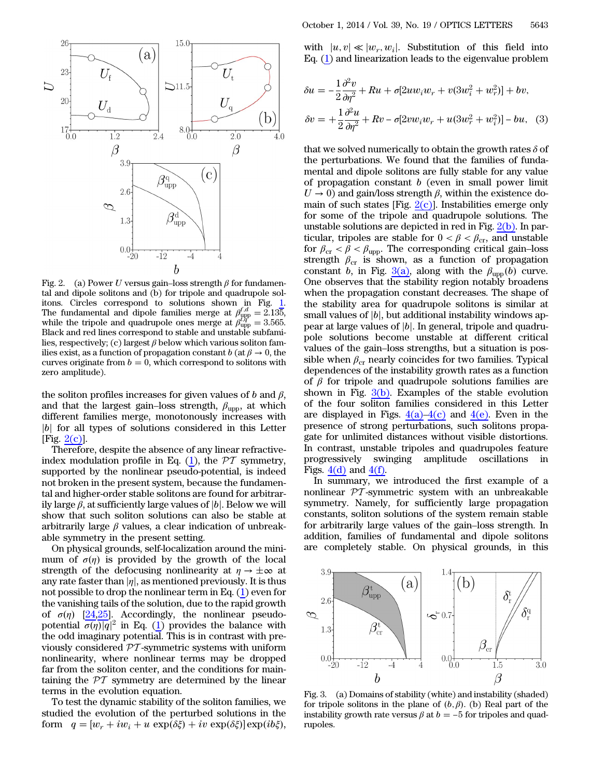<span id="page-2-0"></span>

Fig. 2. (a) Power U versus gain–loss strength  $\beta$  for fundamental and dipole solitons and (b) for tripole and quadrupole solitons. Circles correspond to solutions shown in Fig. [1.](#page-1-1) The fundamental and dipole families merge at  $\beta_{\text{upp}}^{f,d} = 2.13\overline{5}$ , while the tripole and quadrupole ones merge at  $\beta_{\text{upp}}^{f,d} = 3.565$ . Black and red lines correspond to stable and unstable subfamilies, respectively; (c) largest  $\beta$  below which various soliton families exist, as a function of propagation constant b (at  $\beta \to 0$ , the curves originate from  $b = 0$ , which correspond to solitons with zero amplitude).

the soliton profiles increases for given values of b and  $\beta$ , and that the largest gain–loss strength,  $\beta_{\text{upp}}$ , at which different families merge, monotonously increases with  $|b|$  for all types of solutions considered in this Letter [Fig.  $2(c)$ ].

Therefore, despite the absence of any linear refractiveindex modulation profile in Eq.  $(1)$  $(1)$ , the  $\mathcal{PT}$  symmetry, supported by the nonlinear pseudo-potential, is indeed not broken in the present system, because the fundamental and higher-order stable solitons are found for arbitrarily large  $\beta$ , at sufficiently large values of  $|b|$ . Below we will show that such soliton solutions can also be stable at arbitrarily large  $\beta$  values, a clear indication of unbreakable symmetry in the present setting.

On physical grounds, self-localization around the minimum of  $\sigma(\eta)$  is provided by the growth of the local strength of the defocusing nonlinearity at  $\eta \to \pm \infty$  at any rate faster than  $|\eta|$ , as mentioned previously. It is thus not possible to drop the nonlinear term in Eq.  $(1)$  $(1)$  even for the vanishing tails of the solution, due to the rapid growth of  $\sigma(\eta)$  [\[24](#page-3-17),[25\]](#page-3-20). Accordingly, the nonlinear pseudopotential  $\overline{\sigma(\eta)}|q|^2$  in Eq. ([1\)](#page-0-0) provides the balance with the odd imaginary potential. This is in contrast with previously considered  $\mathcal{P}\mathcal{T}$ -symmetric systems with uniform nonlinearity, where nonlinear terms may be dropped far from the soliton center, and the conditions for maintaining the  $\mathcal{P} \mathcal{T}$  symmetry are determined by the linear terms in the evolution equation.

To test the dynamic stability of the soliton families, we studied the evolution of the perturbed solutions in the form  $q = [w_r + iw_i + u \exp(\delta \xi) + iv \exp(\delta \xi)] \exp(i b \xi),$ 

with  $|u, v| \ll |w_r, w_i|$ . Substitution of this field into

$$
\delta u = -\frac{1}{2} \frac{\partial^2 v}{\partial \eta^2} + Ru + \sigma[2uv_i w_r + v(3w_i^2 + w_r^2)] + bv,
$$
  
\n
$$
\delta v = +\frac{1}{2} \frac{\partial^2 v}{\partial \eta^2} + Rv - \sigma[2uv_i w_r + v(3w_i^2 + w_r^2)] - bv,
$$
  
\n
$$
\delta v = +\frac{1}{2} \frac{\partial^2 u}{\partial \eta^2} + Rv - \sigma[2vw_i w_r + u(3w_r^2 + w_i^2)] - bu,
$$
 (3)

that we solved numerically to obtain the growth rates  $\delta$  of the perturbations. We found that the families of fundamental and dipole solitons are fully stable for any value of propagation constant  $b$  (even in small power limit  $U \rightarrow 0$ ) and gain/loss strength  $\beta$ , within the existence domain of such states [Fig.  $2(c)$ ]. Instabilities emerge only for some of the tripole and quadrupole solutions. The unstable solutions are depicted in red in Fig. [2\(b\).](#page-2-0) In particular, tripoles are stable for  $0 < \beta < \beta_{cr}$ , and unstable for  $\beta_{\rm cr} < \beta < \beta_{\rm upp}$ . The corresponding critical gain–loss strength  $\beta_{cr}$  is shown, as a function of propagation constant b, in Fig.  $3(a)$ , along with the  $\beta_{upp}(b)$  curve. One observes that the stability region notably broadens when the propagation constant decreases. The shape of the stability area for quadrupole solitons is similar at small values of  $|b|$ , but additional instability windows appear at large values of  $|b|$ . In general, tripole and quadrupole solutions become unstable at different critical values of the gain–loss strengths, but a situation is possible when  $\beta_{cr}$  nearly coincides for two families. Typical dependences of the instability growth rates as a function of  $\beta$  for tripole and quadrupole solutions families are shown in Fig. [3\(b\)](#page-2-1). Examples of the stable evolution of the four soliton families considered in this Letter are displayed in Figs.  $4(a) - 4(c)$  $4(a) - 4(c)$  $4(a) - 4(c)$  and  $4(e)$ . Even in the presence of strong perturbations, such solitons propagate for unlimited distances without visible distortions. In contrast, unstable tripoles and quadrupoles feature progressively swinging amplitude oscillations in Figs.  $4(d)$  and  $4(f)$ .

In summary, we introduced the first example of a nonlinear  $\mathcal{P}T$ -symmetric system with an unbreakable symmetry. Namely, for sufficiently large propagation constants, soliton solutions of the system remain stable for arbitrarily large values of the gain–loss strength. In addition, families of fundamental and dipole solitons are completely stable. On physical grounds, in this

<span id="page-2-1"></span>

Fig. 3. (a) Domains of stability (white) and instability (shaded) for tripole solitons in the plane of  $(b, \beta)$ . (b) Real part of the instability growth rate versus  $\beta$  at  $b = -5$  for tripoles and quad*b p*<br>Fig. 3. (a) Domains of stability (white) and instability (shaded)<br>for tripole solitons in the plane of  $(b, \beta)$ . (b) Real part of the<br>instability growth rate versus *β* at  $b = -5$  for tripoles and quadrupoles.